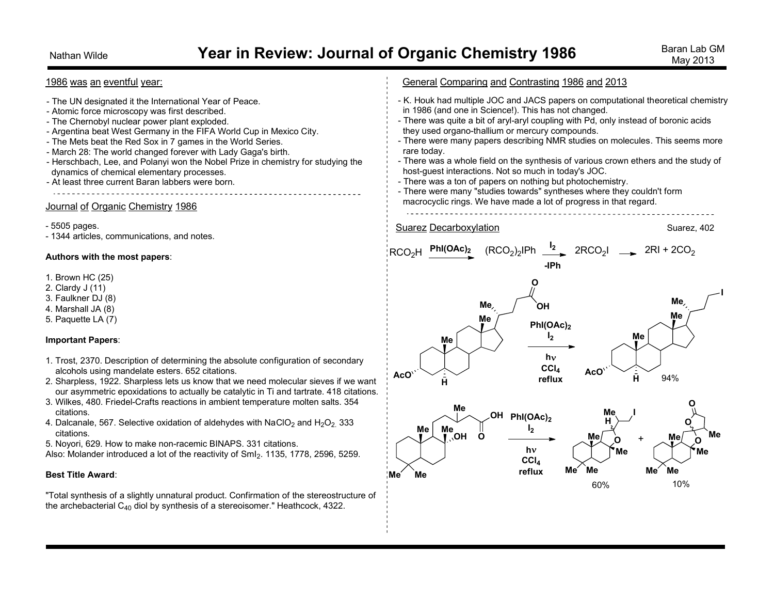## Nathan Wilde *Year in Review: Journal of Organic Chemistry 1986* **Baran Lab GM Baran Lab GM**

### General Comparing and Contrasting 1986 and 2013 1986 was an eventful year: - K. Houk had multiple JOC and JACS papers on computational theoretical chemistry - The UN designated it the International Year of Peace. in 1986 (and one in Science!). This has not changed. - Atomic force microscopy was first described. - The Chernobyl nuclear power plant exploded. - There was quite a bit of aryl-aryl coupling with Pd, only instead of boronic acids - Argentina beat West Germany in the FIFA World Cup in Mexico City. they used organo-thallium or mercury compounds. - There were many papers describing NMR studies on molecules. This seems more - The Mets beat the Red Sox in 7 games in the World Series. rare today. - March 28: The world changed forever with Lady Gaga's birth. - Herschbach, Lee, and Polanyi won the Nobel Prize in chemistry for studying the - There was a whole field on the synthesis of various crown ethers and the study of host-guest interactions. Not so much in today's JOC. dynamics of chemical elementary processes. - There was a ton of papers on nothing but photochemistry. - At least three current Baran labbers were born. - There were many "studies towards" syntheses where they couldn't form and the second control of the second control of the second control of the second control of the second control of the second control of the second control of the second control of the second control of the second control o macrocyclic rings. We have made a lot of progress in that regard. Journal of Organic Chemistry 1986 - 5505 pages. Suarez Decarboxylation Suarez, 402 - 1344 articles, communications, and notes. )2 IPh **<sup>I</sup><sup>2</sup>**  $PhI(OAc)_2$  $2RCO<sub>2</sub>$   $\longrightarrow$   $2RI + 2CO<sub>2</sub>$ RCO2H **Authors with the most papers**: **-IPh** 1. Brown HC (25) **O** 2. Clardy J (11) **I** 3. Faulkner DJ (8) **Me Me OH** 4. Marshall JA (8) **Me** 5. Paquette LA (7) **Me PhI(OAc)<sup>2</sup> I2 Me Important Papers**: **Me h** 1. Trost, 2370. Description of determining the absolute configuration of secondary **CCl<sup>4</sup>** alcohols using mandelate esters. 652 citations. **AcO AcO** 94%**H reflux** 2. Sharpless, 1922. Sharpless lets us know that we need molecular sieves if we want **H** our asymmetric epoxidations to actually be catalytic in Ti and tartrate. 418 citations. 3. Wilkes, 480. Friedel-Crafts reactions in ambient temperature molten salts. 354 **O Me** citations. **Me I OH PhI(OAc)<sup>2</sup> H** 4. Dalcanale, 567. Selective oxidation of aldehydes with NaClO<sub>2</sub> and H<sub>2</sub>O<sub>2</sub> 333 **O Me I2 Me** citations.  $+$   $Me$  **Me OH O Me Me O O** 5. Noyori, 629. How to make non-racemic BINAPS. 331 citations. **h Me Me** Also: Molander introduced a lot of the reactivity of SmI2. 1135, 1778, 2596, 5259. **CCl<sup>4</sup> Me Me Me Me reflux Best Title Award**: **Me Me** 60% 10% "Total synthesis of a slightly unnatural product. Confirmation of the stereostructure of the archebacterial C<sup>40</sup> diol by synthesis of a stereoisomer." Heathcock, 4322.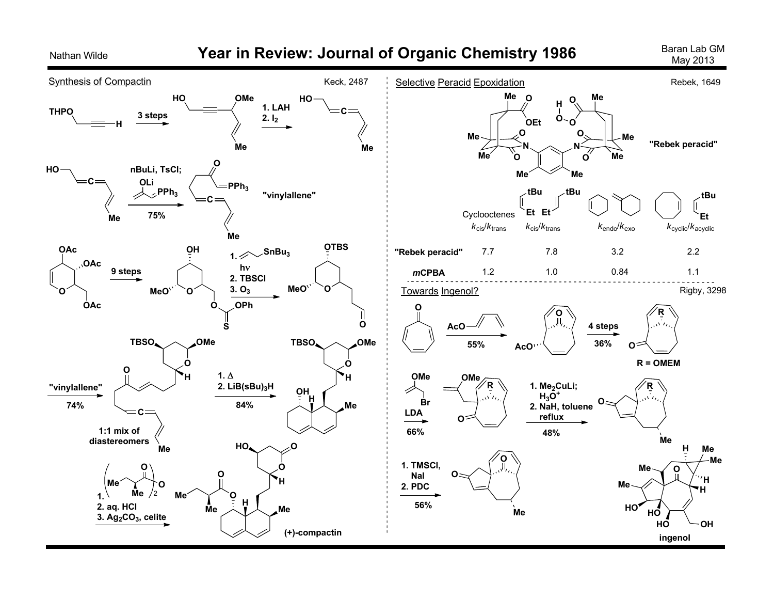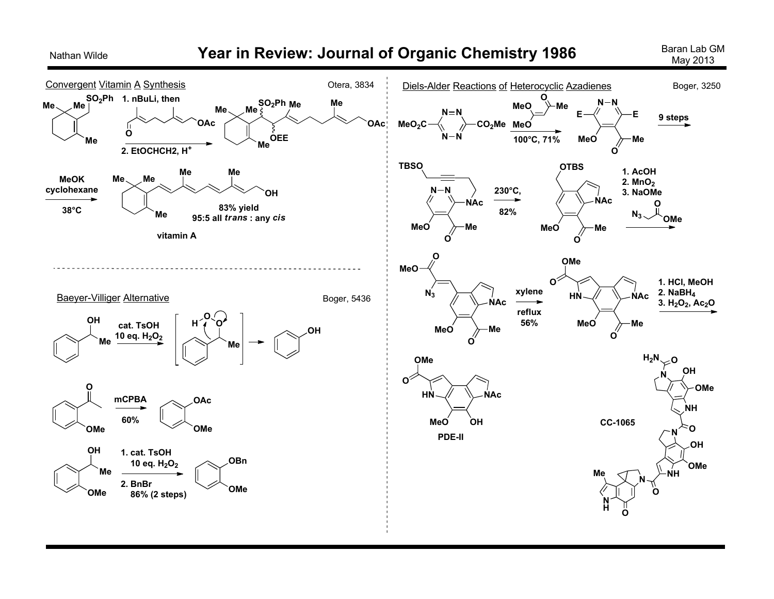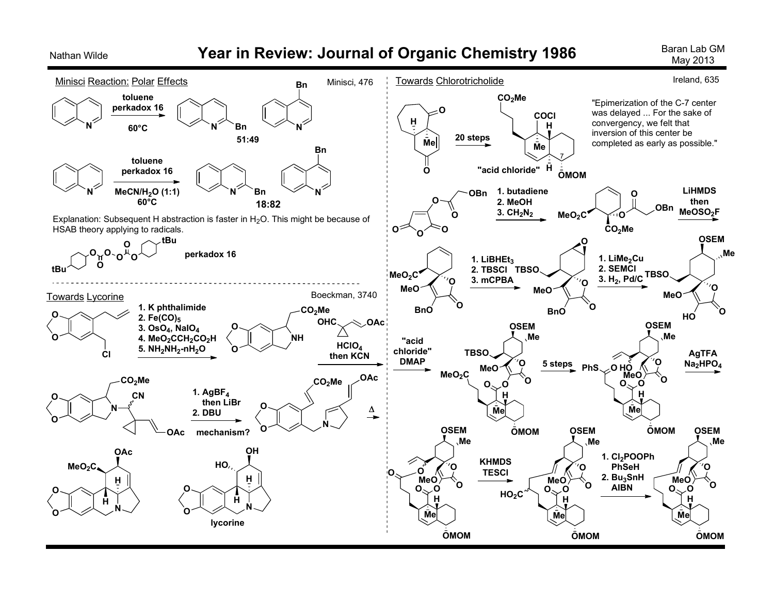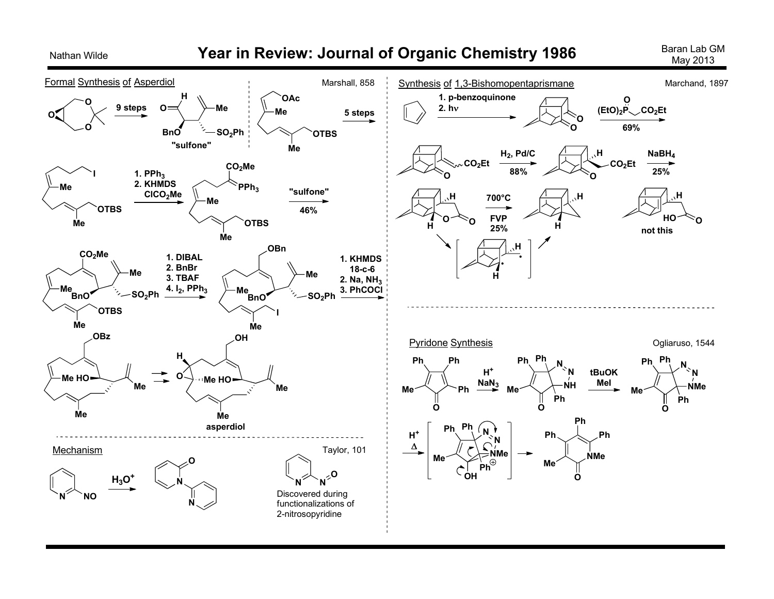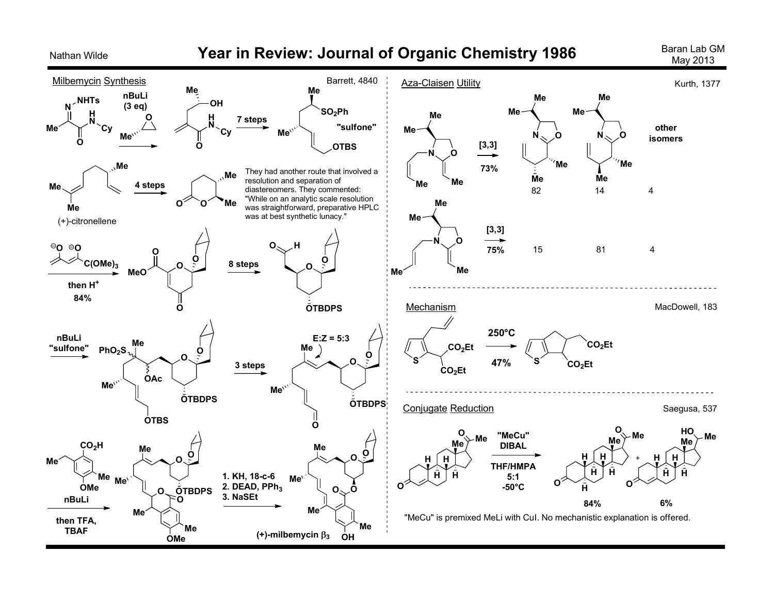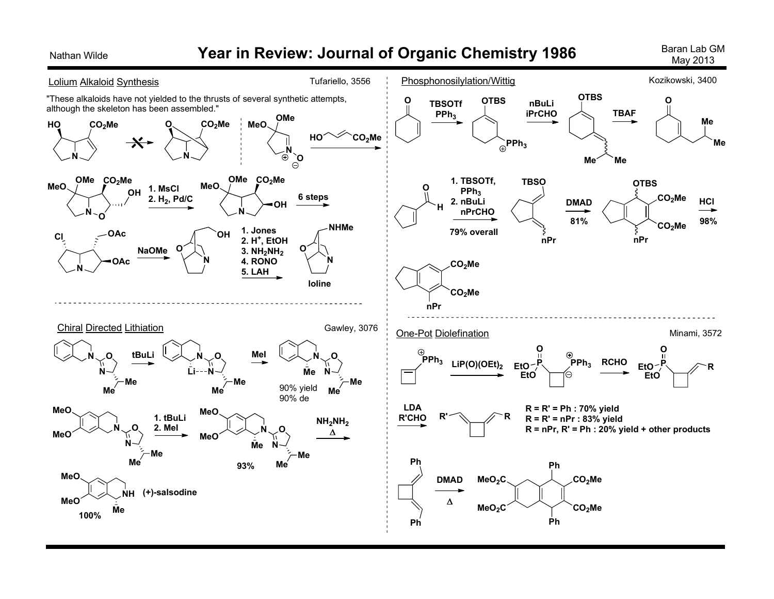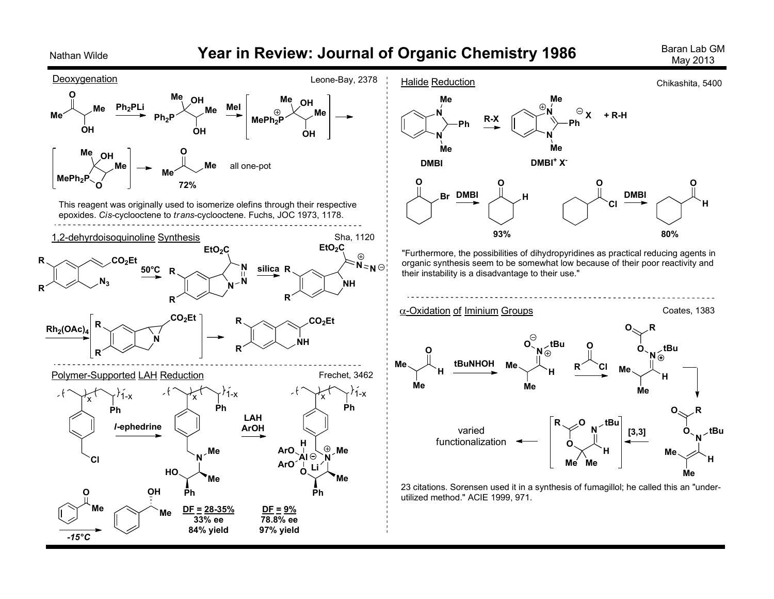

## Nathan Wilde *Year in Review: Journal of Organic Chemistry 1986* **Baran Lab GM Baran Lab GM**

May 2013